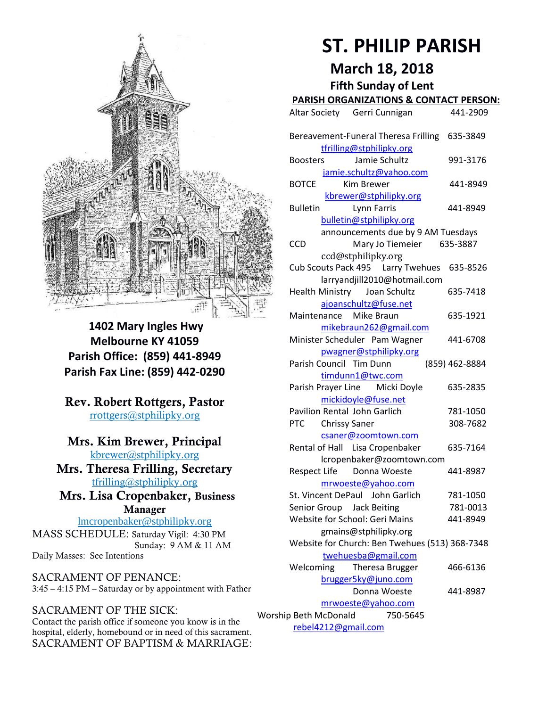

**1402 Mary Ingles Hwy Melbourne KY 41059 Parish Office: (859) 441-8949 Parish Fax Line: (859) 442-0290**

**Rev. Robert Rottgers, Pastor**  [rrottgers@stphilipky.org](mailto:rrottgers@stphilipky.org)

# **Mrs. Kim Brewer, Principal**

[kbrewer@stphilipky.org](mailto:kbrewer@stphilipky.org) **Mrs. Theresa Frilling, Secretary**  [tfrilling@stphilipky.org](mailto:tfrilling@stphilipky.org)

 **Mrs. Lisa Cropenbaker, Business Manager** 

lmcropenbaker@stphilipky.org MASS SCHEDULE: Saturday Vigil: 4:30 PM Sunday: 9 AM & 11 AM Daily Masses: See Intentions

SACRAMENT OF PENANCE: 3:45 – 4:15 PM – Saturday or by appointment with Father

#### SACRAMENT OF THE SICK:

Contact the parish office if someone you know is in the hospital, elderly, homebound or in need of this sacrament. SACRAMENT OF BAPTISM & MARRIAGE:

# **ST. PHILIP PARISH**

**March 18, 2018**

**Fifth Sunday of Lent** 

# **PARISH ORGANIZATIONS & CONTACT PERSON:**

|                                                         | Altar Society Gerri Cunnigan                                                        | 441-2909             |  |
|---------------------------------------------------------|-------------------------------------------------------------------------------------|----------------------|--|
|                                                         | Bereavement-Funeral Theresa Frilling<br>tfrilling@stphilipky.org                    | 635-3849             |  |
|                                                         | Jamie Schultz<br><b>Boosters</b><br>jamie.schultz@yahoo.com                         | 991-3176             |  |
|                                                         | Kim Brewer<br><b>BOTCE</b>                                                          | 441-8949             |  |
|                                                         | kbrewer@stphilipky.org<br>Lynn Farris<br><b>Bulletin</b><br>bulletin@stphilipky.org | 441-8949             |  |
|                                                         | announcements due by 9 AM Tuesdays<br><b>CCD</b><br>Mary Jo Tiemeier                | 635-3887             |  |
|                                                         | ccd@stphilipky.org<br>Cub Scouts Pack 495   Larry Twehues                           | 635-8526             |  |
|                                                         | larryandjill2010@hotmail.com<br><b>Health Ministry</b><br>Joan Schultz              | 635-7418             |  |
|                                                         | ajoanschultz@fuse.net<br>Maintenance Mike Braun<br>mikebraun262@gmail.com           | 635-1921             |  |
|                                                         | Minister Scheduler Pam Wagner<br>pwagner@stphilipky.org                             | 441-6708             |  |
|                                                         | Parish Council Tim Dunn<br>timdunn1@twc.com                                         | (859) 462-8884       |  |
|                                                         | Parish Prayer Line Micki Doyle<br>mickidoyle@fuse.net                               | 635-2835             |  |
|                                                         | Pavilion Rental John Garlich<br><b>Chrissy Saner</b><br><b>PTC</b>                  | 781-1050<br>308-7682 |  |
|                                                         | csaner@zoomtown.com<br>Rental of Hall Lisa Cropenbaker<br>lcropenbaker@zoomtown.com | 635-7164             |  |
|                                                         | Respect Life Donna Woeste<br>mrwoeste@yahoo.com                                     | 441-8987             |  |
|                                                         | St. Vincent DePaul John Garlich<br>Senior Group<br><b>Jack Beiting</b>              | 781-1050<br>781-0013 |  |
|                                                         | Website for School: Geri Mains                                                      | 441-8949             |  |
|                                                         | gmains@stphilipky.org<br>Website for Church: Ben Twehues (513) 368-7348             |                      |  |
|                                                         | twehuesba@gmail.com<br>Welcoming<br>Theresa Brugger                                 | 466-6136             |  |
|                                                         | brugger5ky@juno.com<br>Donna Woeste                                                 | 441-8987             |  |
| mrwoeste@yahoo.com<br>Worship Beth McDonald<br>750-5645 |                                                                                     |                      |  |
| rebel4212@gmail.com                                     |                                                                                     |                      |  |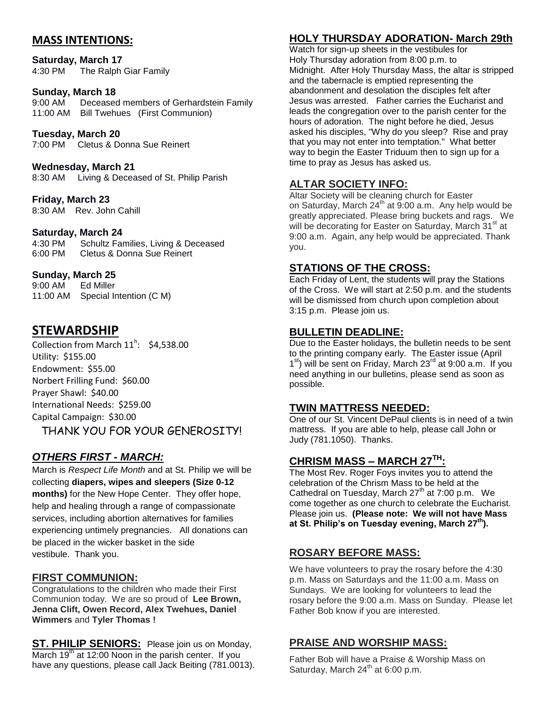## **MASS INTENTIONS:**

**Saturday, March 17** 4:30 PM The Ralph Giar Family

# **Sunday, March 18**<br>9:00 AM Decease

Deceased members of Gerhardstein Family 11:00 AM Bill Twehues (First Communion)

#### **Tuesday, March 20**

7:00 PM Cletus & Donna Sue Reinert

**Wednesday, March 21** 

8:30 AM Living & Deceased of St. Philip Parish

**Friday, March 23** 8:30 AM Rev. John Cahill

#### **Saturday, March 24**

4:30 PM Schultz Families, Living & Deceased 6:00 PM Cletus & Donna Sue Reinert

#### **Sunday, March 25**

9:00 AM Ed Miller 11:00 AM Special Intention (C M)

# **STEWARDSHIP**

Collection from March  $11<sup>h</sup>$ : \$4,538.00 Utility: \$155.00 Endowment: \$55.00 Norbert Frilling Fund: \$60.00 Prayer Shawl: \$40.00 International Needs: \$259.00 Capital Campaign: \$30.00

THANK YOU FOR YOUR GENEROSITY!

## *OTHERS FIRST - MARCH:*

March is *Respect Life Month* and at St. Philip we will be collecting **diapers, wipes and sleepers (Size 0-12 months)** for the New Hope Center. They offer hope, help and healing through a range of compassionate services, including abortion alternatives for families experiencing untimely pregnancies. All donations can be placed in the wicker basket in the side vestibule. Thank you.

#### **FIRST COMMUNION:**

Congratulations to the children who made their First Communion today. We are so proud of **Lee Brown, Jenna Clift, Owen Record, Alex Twehues, Daniel Wimmers** and **Tyler Thomas !**

**ST. PHILIP SENIORS:** Please join us on Monday, March 19<sup>th</sup> at 12:00 Noon in the parish center. If you have any questions, please call Jack Beiting (781.0013).

# **HOLY THURSDAY ADORATION- March 29th**

Watch for sign-up sheets in the vestibules for Holy Thursday adoration from 8:00 p.m. to Midnight. After Holy Thursday Mass, the altar is stripped and the tabernacle is emptied representing the abandonment and desolation the disciples felt after Jesus was arrested. Father carries the Eucharist and leads the congregation over to the parish center for the hours of adoration. The night before he died, Jesus asked his disciples, "Why do you sleep? Rise and pray that you may not enter into temptation." What better way to begin the Easter Triduum then to sign up for a time to pray as Jesus has asked us.

#### **ALTAR SOCIETY INFO:**

Altar Society will be cleaning church for Easter on Saturday, March  $24^{th}$  at 9:00 a.m. Any help would be greatly appreciated. Please bring buckets and rags. We will be decorating for Easter on Saturday, March 31<sup>st</sup> at 9:00 a.m. Again, any help would be appreciated. Thank you.

#### **STATIONS OF THE CROSS:**

Each Friday of Lent, the students will pray the Stations of the Cross. We will start at 2:50 p.m. and the students will be dismissed from church upon completion about 3:15 p.m. Please join us.

#### **BULLETIN DEADLINE:**

Due to the Easter holidays, the bulletin needs to be sent to the printing company early. The Easter issue (April 1<sup>st</sup>) will be sent on Friday, March 23<sup>rd</sup> at 9:00 a.m. If you need anything in our bulletins, please send as soon as possible.

#### **TWIN MATTRESS NEEDED:**

One of our St. Vincent DePaul clients is in need of a twin mattress. If you are able to help, please call John or Judy (781.1050). Thanks.

## **CHRISM MASS – MARCH 27TH:**

The Most Rev. Roger Foys invites you to attend the celebration of the Chrism Mass to be held at the Cathedral on Tuesday, March  $27<sup>th</sup>$  at 7:00 p.m. We come together as one church to celebrate the Eucharist. Please join us. **(Please note: We will not have Mass at St. Philip's on Tuesday evening, March 27th).** 

#### **ROSARY BEFORE MASS:**

We have volunteers to pray the rosary before the 4:30 p.m. Mass on Saturdays and the 11:00 a.m. Mass on Sundays. We are looking for volunteers to lead the rosary before the 9:00 a.m. Mass on Sunday. Please let Father Bob know if you are interested.

## **PRAISE AND WORSHIP MASS:**

Father Bob will have a Praise & Worship Mass on Saturday, March 24<sup>th</sup> at 6:00 p.m.